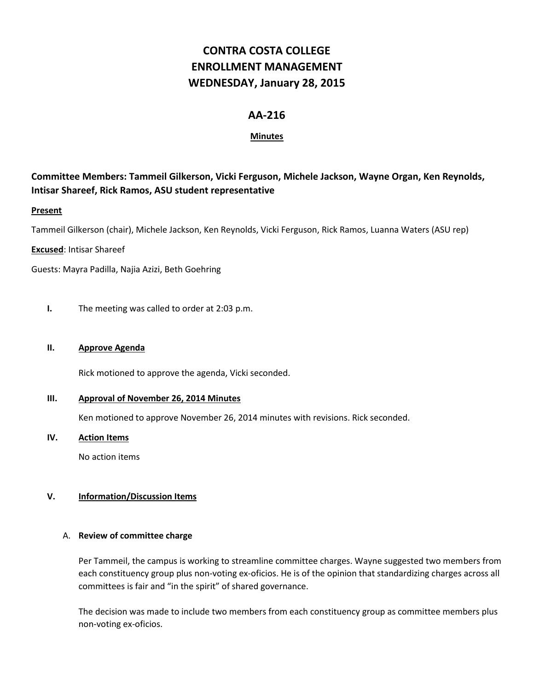# **CONTRA COSTA COLLEGE ENROLLMENT MANAGEMENT WEDNESDAY, January 28, 2015**

# **AA-216**

# **Minutes**

# **Committee Members: Tammeil Gilkerson, Vicki Ferguson, Michele Jackson, Wayne Organ, Ken Reynolds, Intisar Shareef, Rick Ramos, ASU student representative**

# **Present**

Tammeil Gilkerson (chair), Michele Jackson, Ken Reynolds, Vicki Ferguson, Rick Ramos, Luanna Waters (ASU rep)

# **Excused**: Intisar Shareef

Guests: Mayra Padilla, Najia Azizi, Beth Goehring

**I.** The meeting was called to order at 2:03 p.m.

#### **II. Approve Agenda**

Rick motioned to approve the agenda, Vicki seconded.

#### **III. Approval of November 26, 2014 Minutes**

Ken motioned to approve November 26, 2014 minutes with revisions. Rick seconded.

#### **IV. Action Items**

No action items

# **V. Information/Discussion Items**

#### A. **Review of committee charge**

Per Tammeil, the campus is working to streamline committee charges. Wayne suggested two members from each constituency group plus non-voting ex-oficios. He is of the opinion that standardizing charges across all committees is fair and "in the spirit" of shared governance.

The decision was made to include two members from each constituency group as committee members plus non-voting ex-oficios.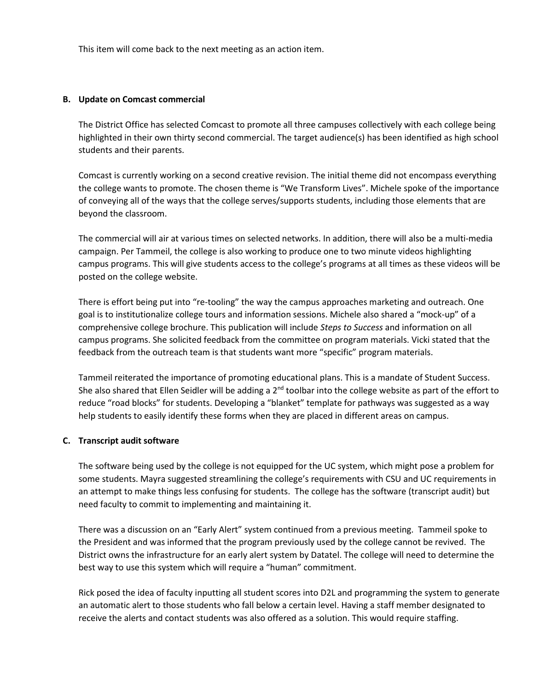This item will come back to the next meeting as an action item.

#### **B. Update on Comcast commercial**

The District Office has selected Comcast to promote all three campuses collectively with each college being highlighted in their own thirty second commercial. The target audience(s) has been identified as high school students and their parents.

Comcast is currently working on a second creative revision. The initial theme did not encompass everything the college wants to promote. The chosen theme is "We Transform Lives". Michele spoke of the importance of conveying all of the ways that the college serves/supports students, including those elements that are beyond the classroom.

The commercial will air at various times on selected networks. In addition, there will also be a multi-media campaign. Per Tammeil, the college is also working to produce one to two minute videos highlighting campus programs. This will give students access to the college's programs at all times as these videos will be posted on the college website.

There is effort being put into "re-tooling" the way the campus approaches marketing and outreach. One goal is to institutionalize college tours and information sessions. Michele also shared a "mock-up" of a comprehensive college brochure. This publication will include *Steps to Success* and information on all campus programs. She solicited feedback from the committee on program materials. Vicki stated that the feedback from the outreach team is that students want more "specific" program materials.

Tammeil reiterated the importance of promoting educational plans. This is a mandate of Student Success. She also shared that Ellen Seidler will be adding a 2<sup>nd</sup> toolbar into the college website as part of the effort to reduce "road blocks" for students. Developing a "blanket" template for pathways was suggested as a way help students to easily identify these forms when they are placed in different areas on campus.

#### **C. Transcript audit software**

The software being used by the college is not equipped for the UC system, which might pose a problem for some students. Mayra suggested streamlining the college's requirements with CSU and UC requirements in an attempt to make things less confusing for students. The college has the software (transcript audit) but need faculty to commit to implementing and maintaining it.

There was a discussion on an "Early Alert" system continued from a previous meeting. Tammeil spoke to the President and was informed that the program previously used by the college cannot be revived. The District owns the infrastructure for an early alert system by Datatel. The college will need to determine the best way to use this system which will require a "human" commitment.

Rick posed the idea of faculty inputting all student scores into D2L and programming the system to generate an automatic alert to those students who fall below a certain level. Having a staff member designated to receive the alerts and contact students was also offered as a solution. This would require staffing.